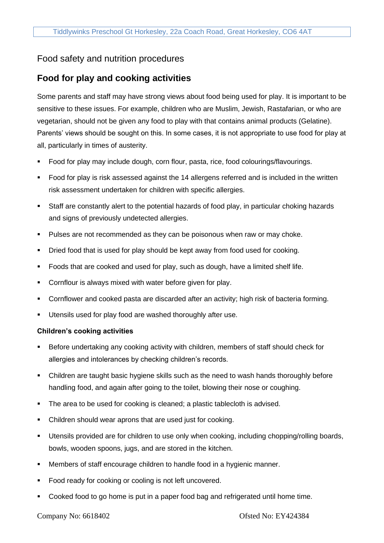## Food safety and nutrition procedures

## **Food for play and cooking activities**

Some parents and staff may have strong views about food being used for play. It is important to be sensitive to these issues. For example, children who are Muslim, Jewish, Rastafarian, or who are vegetarian, should not be given any food to play with that contains animal products (Gelatine). Parents' views should be sought on this. In some cases, it is not appropriate to use food for play at all, particularly in times of austerity.

- Food for play may include dough, corn flour, pasta, rice, food colourings/flavourings.
- Food for play is risk assessed against the 14 allergens referred and is included in the written risk assessment undertaken for children with specific allergies.
- Staff are constantly alert to the potential hazards of food play, in particular choking hazards and signs of previously undetected allergies.
- **•** Pulses are not recommended as they can be poisonous when raw or may choke.
- **•** Dried food that is used for play should be kept away from food used for cooking.
- Foods that are cooked and used for play, such as dough, have a limited shelf life.
- Cornflour is always mixed with water before given for play.
- Cornflower and cooked pasta are discarded after an activity; high risk of bacteria forming.
- Utensils used for play food are washed thoroughly after use.

## **Children's cooking activities**

- Before undertaking any cooking activity with children, members of staff should check for allergies and intolerances by checking children's records.
- Children are taught basic hygiene skills such as the need to wash hands thoroughly before handling food, and again after going to the toilet, blowing their nose or coughing.
- The area to be used for cooking is cleaned; a plastic tablecloth is advised.
- Children should wear aprons that are used just for cooking.
- Utensils provided are for children to use only when cooking, including chopping/rolling boards, bowls, wooden spoons, jugs, and are stored in the kitchen.
- Members of staff encourage children to handle food in a hygienic manner.
- Food ready for cooking or cooling is not left uncovered.
- Cooked food to go home is put in a paper food bag and refrigerated until home time.

Company No: 6618402 Ofsted No: EY424384